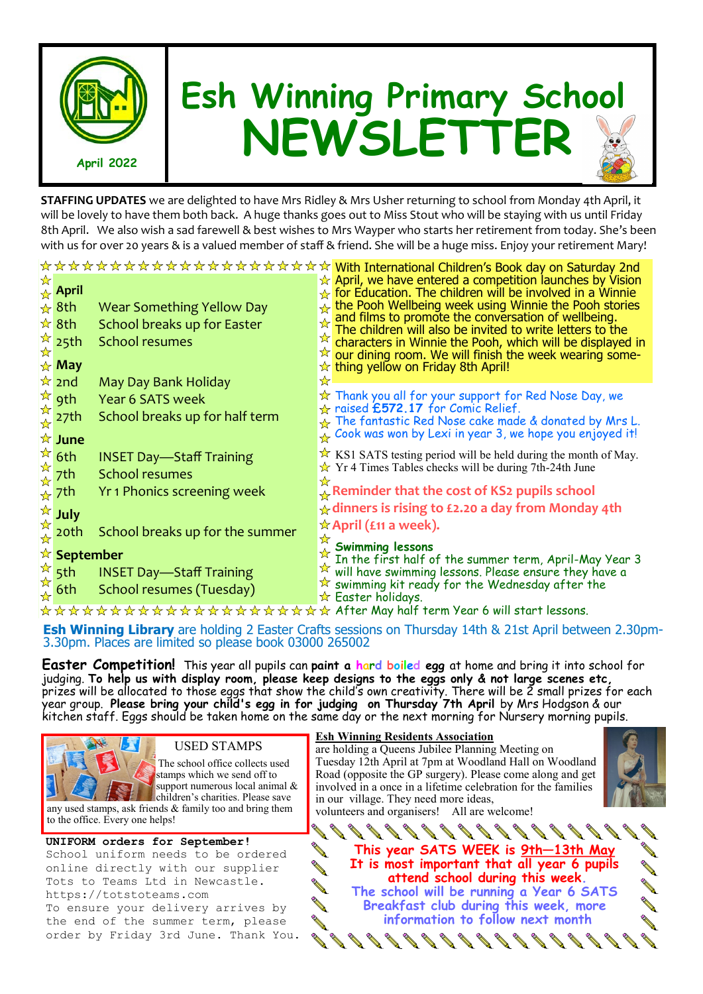

## **Esh Winning Primary School NEWSLETTER**

**STAFFING UPDATES** we are delighted to have Mrs Ridley & Mrs Usher returning to school from Monday 4th April, it will be lovely to have them both back. A huge thanks goes out to Miss Stout who will be staying with us until Friday 8th April. We also wish a sad farewell & best wishes to Mrs Wayper who starts her retirement from today. She's been with us for over 20 years & is a valued member of staff & friend. She will be a huge miss. Enjoy your retirement Mary!

|   |                                                  |                                  | ☆☆☆☆☆☆☆☆☆☆☆☆☆☆☆☆☆☆☆☆ <mark>With International Children's Book day on Saturday 2nd</mark>                                         |
|---|--------------------------------------------------|----------------------------------|----------------------------------------------------------------------------------------------------------------------------------|
| ☆ | $\overline{\mathcal{A}}$ April                   |                                  | $\star$ April, we have entered a competition launches by Vision<br>$\&$ for Education. The children will be involved in a Winnie |
|   | $\frac{1}{2}$ 8th                                | <b>Wear Something Yellow Day</b> | $\rightarrow$ the Pooh Wellbeing week using Winnie the Pooh stories                                                              |
|   | ☆ 8th                                            | School breaks up for Easter      | and films to promote the conversation of wellbeing.<br>The children will also be invited to write letters to the                 |
|   | $\frac{\pi}{\mathbf{k}}$ 25th                    | <b>School resumes</b>            | $\star$ characters in Winnie the Pooh, which will be displayed in                                                                |
|   | $\star$ May                                      |                                  | $\sqrt{\alpha}$ our dining room. We will finish the week wearing some-<br>$\sqrt{\chi}$ thing yellow on Friday 8th April!        |
|   | $\frac{1}{2}$ 2nd                                | May Day Bank Holiday             | ☆                                                                                                                                |
|   | $\frac{1}{2}$ 9th                                | <b>Year 6 SATS week</b>          | $\star$ Thank you all for your support for Red Nose Day, we                                                                      |
| ☆ | 27th                                             | School breaks up for half term   | $\star$ raised £572.17 for Comic Relief.<br>$\rightarrow$ The fantastic Red Nose cake made & donated by Mrs L.                   |
|   | $\overline{\star}$ June                          |                                  | $\mathcal{L}$ Cook was won by Lexi in year 3, we hope you enjoyed it!                                                            |
|   |                                                  | <b>INSET Day-Staff Training</b>  | $\star$ KS1 SATS testing period will be held during the month of May.                                                            |
|   | $\frac{1}{\alpha}$ 6th<br>$\frac{1}{\alpha}$ 7th | <b>School resumes</b>            | $\sqrt{x}$ Yr 4 Times Tables checks will be during 7th-24th June                                                                 |
|   | $\star$ 7th                                      | Yr 1 Phonics screening week      | ☆<br>$\downarrow$ Reminder that the cost of KS2 pupils school                                                                    |
|   | July                                             |                                  | $\star$ dinners is rising to £2.20 a day from Monday 4th                                                                         |
| 卒 | 20th                                             | School breaks up for the summer  | $\star$ April (£11 a week).                                                                                                      |
|   |                                                  |                                  | ☆<br><b>Swimming lessons</b>                                                                                                     |
|   | ☆ September                                      |                                  | In the first half of the summer term, April-May Year 3<br>A will have swimming lessons. Please ensure they have a                |
|   | $\frac{1}{2}$ 5 <sup>th</sup>                    | <b>INSET Day-Staff Training</b>  | $\mathbb{\hat{X}}$ swimming kit ready for the Wednesday after the                                                                |
|   | 6th                                              | School resumes (Tuesday)         | $\star$ Easter holidays.                                                                                                         |
|   |                                                  |                                  | ☆☆☆☆☆☆☆☆☆☆☆☆☆☆☆☆☆☆☆☆ After May half term Year 6 will start lessons.                                                              |

**Esh Winning Library** are holding 2 Easter Crafts sessions on Thursday 14th & 21st April between 2.30pm-3.30pm. Places are limited so please book 03000 265002

**Easter Competition!** This year all pupils can **paint a hard boiled egg** at home and bring it into school for judging. **To help us with display room, please keep designs to the eggs only & not large scenes etc,**  prizes will be allocated to those eggs that show the child's own creativity. There will be 2 small prizes for each year group. **Please bring your child's egg in for judging on Thursday 7th April** by Mrs Hodgson & our kitchen staff. Eggs should be taken home on the same day or the next morning for Nursery morning pupils.



## USED STAMPS

 The school office collects used stamps which we send off to support numerous local animal & children's charities. Please save

any used stamps, ask friends & family too and bring them to the office. Every one helps!

## **UNIFORM orders for September!**

School uniform needs to be ordered online directly with our supplier Tots to Teams Ltd in Newcastle. https://totstoteams.com To ensure your delivery arrives by the end of the summer term, please order by Friday 3rd June. Thank You.

## **Esh Winning Residents Association**

are holding a Queens Jubilee Planning Meeting on Tuesday 12th April at 7pm at Woodland Hall on Woodland Road (opposite the GP surgery). Please come along and get involved in a once in a lifetime celebration for the families in our village. They need more ideas,



volunteers and organisers! All are welcome!